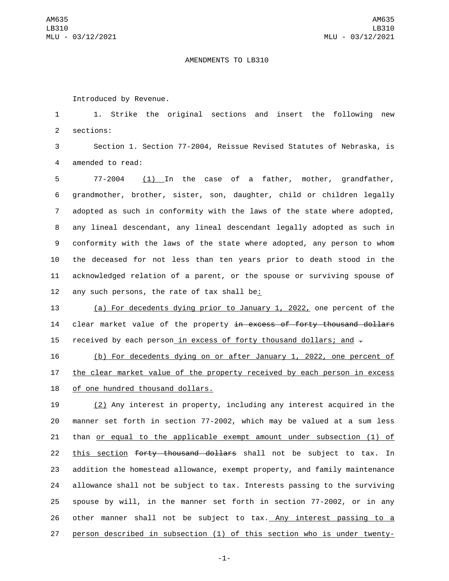## AMENDMENTS TO LB310

Introduced by Revenue.

1 1. Strike the original sections and insert the following new 2 sections:

3 Section 1. Section 77-2004, Reissue Revised Statutes of Nebraska, is 4 amended to read:

 77-2004 (1) In the case of a father, mother, grandfather, grandmother, brother, sister, son, daughter, child or children legally adopted as such in conformity with the laws of the state where adopted, any lineal descendant, any lineal descendant legally adopted as such in conformity with the laws of the state where adopted, any person to whom the deceased for not less than ten years prior to death stood in the acknowledged relation of a parent, or the spouse or surviving spouse of 12 any such persons, the rate of tax shall be:

13 (a) For decedents dying prior to January 1, 2022, one percent of the 14 clear market value of the property in excess of forty thousand dollars 15 received by each person in excess of forty thousand dollars; and  $-$ 

16 (b) For decedents dying on or after January 1, 2022, one percent of 17 the clear market value of the property received by each person in excess 18 of one hundred thousand dollars.

 (2) Any interest in property, including any interest acquired in the manner set forth in section 77-2002, which may be valued at a sum less than or equal to the applicable exempt amount under subsection (1) of 22 this section forty thousand dollars shall not be subject to tax. In addition the homestead allowance, exempt property, and family maintenance allowance shall not be subject to tax. Interests passing to the surviving spouse by will, in the manner set forth in section 77-2002, or in any other manner shall not be subject to tax. Any interest passing to a person described in subsection (1) of this section who is under twenty-

-1-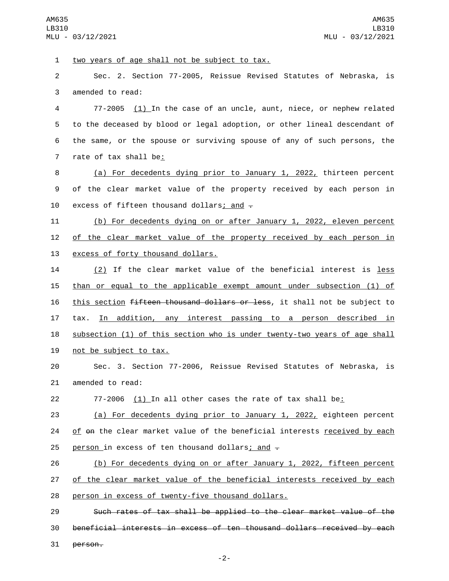AM635 LB310 MLU - 03/12/2021

1 two years of age shall not be subject to tax.

2 Sec. 2. Section 77-2005, Reissue Revised Statutes of Nebraska, is 3 amended to read:

 77-2005 (1) In the case of an uncle, aunt, niece, or nephew related to the deceased by blood or legal adoption, or other lineal descendant of the same, or the spouse or surviving spouse of any of such persons, the 7 rate of tax shall be:

8 (a) For decedents dying prior to January 1, 2022, thirteen percent 9 of the clear market value of the property received by each person in 10 excess of fifteen thousand dollars; and  $-$ 

11 (b) For decedents dying on or after January 1, 2022, eleven percent 12 of the clear market value of the property received by each person in 13 excess of forty thousand dollars.

14 (2) If the clear market value of the beneficial interest is <u>less</u> 15 than or equal to the applicable exempt amount under subsection (1) of 16 this section fifteen thousand dollars or less, it shall not be subject to 17 tax. In addition, any interest passing to a person described in 18 subsection (1) of this section who is under twenty-two years of age shall 19 not be subject to tax.

20 Sec. 3. Section 77-2006, Reissue Revised Statutes of Nebraska, is 21 amended to read:

22 77-2006 (1) In all other cases the rate of tax shall be:

23 (a) For decedents dying prior to January 1, 2022, eighteen percent 24 of  $\Theta$ n the clear market value of the beneficial interests received by each 25 person in excess of ten thousand dollars; and  $\overline{z}$ 

26 (b) For decedents dying on or after January 1, 2022, fifteen percent 27 of the clear market value of the beneficial interests received by each 28 person in excess of twenty-five thousand dollars.

29 Such rates of tax shall be applied to the clear market value of the 30 beneficial interests in excess of ten thousand dollars received by each 31 person.

-2-